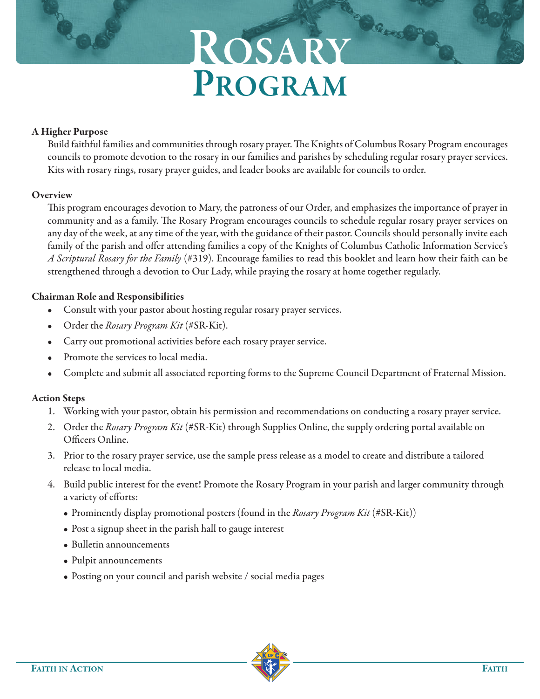# **ROSARY PROGRAM**

Barce

### **A Higher Purpose**

Build faithful families and communities through rosary prayer. The Knights of Columbus Rosary Program encourages councils to promote devotion to the rosary in our families and parishes by scheduling regular rosary prayer services. Kits with rosary rings, rosary prayer guides, and leader books are available for councils to order.

### **Overview**

This program encourages devotion to Mary, the patroness of our Order, and emphasizes the importance of prayer in community and as a family. The Rosary Program encourages councils to schedule regular rosary prayer services on any day of the week, at any time of the year, with the guidance of their pastor. Councils should personally invite each family of the parish and offer attending families a copy of the Knights of Columbus Catholic Information Service's A Scriptural Rosary for the Family (#319). Encourage families to read this booklet and learn how their faith can be strengthened through a devotion to Our Lady, while praying the rosary at home together regularly.

# **Chairman Role and Responsibilities**

- Consult with your pastor about hosting regular rosary prayer services.
- Order the Rosary Program Kit (#SR-Kit).
- Carry out promotional activities before each rosary prayer service.
- Promote the services to local media.
- Complete and submit all associated reporting forms to the Supreme Council Department of Fraternal Mission.

# **Action Steps**

- 1. Working with your pastor, obtain his permission and recommendations on conducting a rosary prayer service.
- 2. Order the Rosary Program Kit (#SR-Kit) through Supplies Online, the supply ordering portal available on Officers Online.
- 3. Prior to the rosary prayer service, use the sample press release as a model to create and distribute a tailored release to local media.
- 4. Build public interest for the event! Promote the Rosary Program in your parish and larger community through a variety of efforts:
	- Prominently display promotional posters (found in the *Rosary Program Kit* (#SR-Kit))
	- Post a signup sheet in the parish hall to gauge interest
	- Bulletin announcements
	- Pulpit announcements
	- Posting on your council and parish website / social media pages